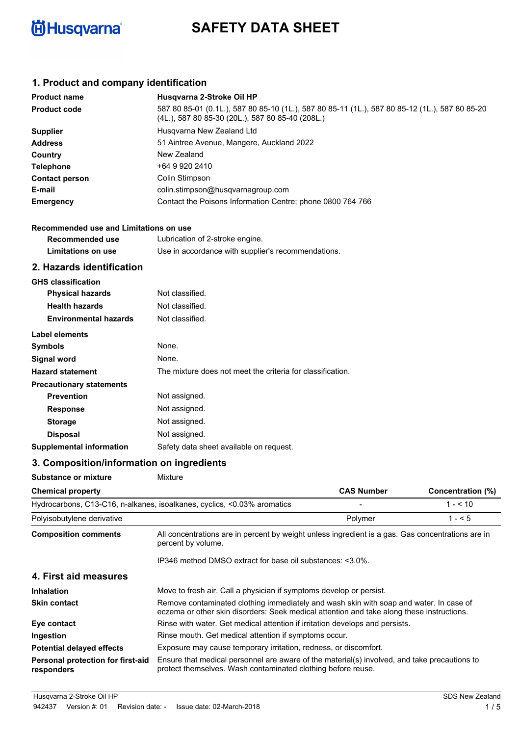

# **SAFETY DATA SHEET**

# **1. Product and company identification**

| <b>Product name</b>   | Husgvarna 2-Stroke Oil HP                                                                                                                          |
|-----------------------|----------------------------------------------------------------------------------------------------------------------------------------------------|
| <b>Product code</b>   | 587 80 85-01 (0.1L.), 587 80 85-10 (1L.), 587 80 85-11 (1L.), 587 80 85-12 (1L.), 587 80 85-20<br>(4L.), 587 80 85-30 (20L.), 587 80 85-40 (208L.) |
| <b>Supplier</b>       | Husgvarna New Zealand Ltd                                                                                                                          |
| <b>Address</b>        | 51 Aintree Avenue, Mangere, Auckland 2022                                                                                                          |
| Country               | New Zealand                                                                                                                                        |
| <b>Telephone</b>      | +64 9 920 2410                                                                                                                                     |
| <b>Contact person</b> | Colin Stimpson                                                                                                                                     |
| E-mail                | colin.stimpson@husqvarnagroup.com                                                                                                                  |
| <b>Emergency</b>      | Contact the Poisons Information Centre; phone 0800 764 766                                                                                         |
|                       |                                                                                                                                                    |

| Recommended use and Limitations on use |                                                    |  |
|----------------------------------------|----------------------------------------------------|--|
| Recommended use                        | Lubrication of 2-stroke engine.                    |  |
| Limitations on use                     | Use in accordance with supplier's recommendations. |  |

### **2. Hazards identification**

| <b>GHS</b> classification       |                                                            |
|---------------------------------|------------------------------------------------------------|
| <b>Physical hazards</b>         | Not classified.                                            |
| <b>Health hazards</b>           | Not classified.                                            |
| <b>Environmental hazards</b>    | Not classified.                                            |
| Label elements                  |                                                            |
| <b>Symbols</b>                  | None.                                                      |
| <b>Signal word</b>              | None.                                                      |
| <b>Hazard statement</b>         | The mixture does not meet the criteria for classification. |
| <b>Precautionary statements</b> |                                                            |
| <b>Prevention</b>               | Not assigned.                                              |
| <b>Response</b>                 | Not assigned.                                              |
| <b>Storage</b>                  | Not assigned.                                              |
| <b>Disposal</b>                 | Not assigned.                                              |
| <b>Supplemental information</b> | Safety data sheet available on request.                    |

# **3. Composition/information on ingredients**

| <b>Substance or mixture</b>                     | Mixture                                                                                                                                                                             |                   |                   |
|-------------------------------------------------|-------------------------------------------------------------------------------------------------------------------------------------------------------------------------------------|-------------------|-------------------|
| <b>Chemical property</b>                        |                                                                                                                                                                                     | <b>CAS Number</b> | Concentration (%) |
|                                                 | Hydrocarbons, C13-C16, n-alkanes, isoalkanes, cyclics, <0.03% aromatics                                                                                                             |                   | $1 - 510$         |
| Polyisobutylene derivative                      |                                                                                                                                                                                     | Polymer           | $1 - 5$           |
| <b>Composition comments</b>                     | All concentrations are in percent by weight unless ingredient is a gas. Gas concentrations are in<br>percent by volume.                                                             |                   |                   |
|                                                 | IP346 method DMSO extract for base oil substances: <3.0%.                                                                                                                           |                   |                   |
| 4. First aid measures                           |                                                                                                                                                                                     |                   |                   |
| <b>Inhalation</b>                               | Move to fresh air. Call a physician if symptoms develop or persist.                                                                                                                 |                   |                   |
| <b>Skin contact</b>                             | Remove contaminated clothing immediately and wash skin with soap and water. In case of<br>eczema or other skin disorders: Seek medical attention and take along these instructions. |                   |                   |
| Eye contact                                     | Rinse with water. Get medical attention if irritation develops and persists.                                                                                                        |                   |                   |
| Ingestion                                       | Rinse mouth. Get medical attention if symptoms occur.                                                                                                                               |                   |                   |
| <b>Potential delayed effects</b>                | Exposure may cause temporary irritation, redness, or discomfort.                                                                                                                    |                   |                   |
| Personal protection for first-aid<br>responders | Ensure that medical personnel are aware of the material(s) involved, and take precautions to<br>protect themselves. Wash contaminated clothing before reuse.                        |                   |                   |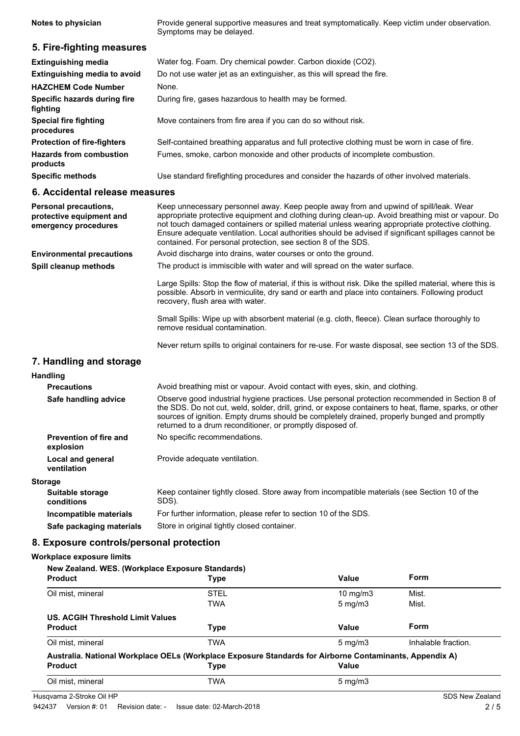Provide general supportive measures and treat symptomatically. Keep victim under observation. Symptoms may be delayed. **Notes to physician 5. Fire-fighting measures Extinguishing media** Water fog. Foam. Dry chemical powder. Carbon dioxide (CO2). **Extinguishing media to avoid** Do not use water jet as an extinguisher, as this will spread the fire. **HAZCHEM Code Number** None **Specific hazards during fire** During fire, gases hazardous to health may be formed. **fighting Special fire fighting Move containers from fire area if you can do so without risk. procedures Protection of fire-fighters** Self-contained breathing apparatus and full protective clothing must be worn in case of fire. **Hazards from combustion** Fumes, smoke, carbon monoxide and other products of incomplete combustion. **products Specific methods** Use standard firefighting procedures and consider the hazards of other involved materials. **6. Accidental release measures** Keep unnecessary personnel away. Keep people away from and upwind of spill/leak. Wear appropriate protective equipment and clothing during clean-up. Avoid breathing mist or vapour. Do not touch damaged containers or spilled material unless wearing appropriate protective clothing. Ensure adequate ventilation. Local authorities should be advised if significant spillages cannot be contained. For personal protection, see section 8 of the SDS. **Personal precautions, protective equipment and emergency procedures Environmental precautions** Avoid discharge into drains, water courses or onto the ground. The product is immiscible with water and will spread on the water surface. Large Spills: Stop the flow of material, if this is without risk. Dike the spilled material, where this is possible. Absorb in vermiculite, dry sand or earth and place into containers. Following product recovery, flush area with water. Small Spills: Wipe up with absorbent material (e.g. cloth, fleece). Clean surface thoroughly to remove residual contamination. Never return spills to original containers for re-use. For waste disposal, see section 13 of the SDS. **Spill cleanup methods 7. Handling and storage Handling Precautions** Avoid breathing mist or vapour. Avoid contact with eyes, skin, and clothing. Observe good industrial hygiene practices. Use personal protection recommended in Section 8 of the SDS. Do not cut, weld, solder, drill, grind, or expose containers to heat, flame, sparks, or other sources of ignition. Empty drums should be completely drained, properly bunged and promptly returned to a drum reconditioner, or promptly disposed of. **Safe handling advice Prevention of fire and** No specific recommendations. **explosion Local and general Frovide adequate ventilation. ventilation**

#### **Storage**

Keep container tightly closed. Store away from incompatible materials (see Section 10 of the SDS). **Suitable storage conditions Incompatible materials** For further information, please refer to section 10 of the SDS. **Safe packaging materials** Store in original tightly closed container.

### **8. Exposure controls/personal protection**

#### **Workplace exposure limits**

| New Zealand. WES. (Workplace Exposure Standards) |                                                                                                                        |                     |                     |
|--------------------------------------------------|------------------------------------------------------------------------------------------------------------------------|---------------------|---------------------|
| <b>Product</b>                                   | <b>Type</b>                                                                                                            | Value               | Form                |
| Oil mist, mineral                                | <b>STEL</b>                                                                                                            | $10 \text{ mg/m}$   | Mist.               |
|                                                  | <b>TWA</b>                                                                                                             | $5 \text{ mg/m}$    | Mist.               |
| US. ACGIH Threshold Limit Values                 |                                                                                                                        |                     |                     |
| <b>Product</b>                                   | <b>Type</b>                                                                                                            | Value               | Form                |
| Oil mist, mineral                                | <b>TWA</b>                                                                                                             | $5 \text{ mg/m}$    | Inhalable fraction. |
| <b>Product</b>                                   | Australia. National Workplace OELs (Workplace Exposure Standards for Airborne Contaminants, Appendix A)<br><b>Type</b> | Value               |                     |
|                                                  |                                                                                                                        |                     |                     |
| Oil mist, mineral                                | <b>TWA</b>                                                                                                             | $5 \,\mathrm{mg/m}$ |                     |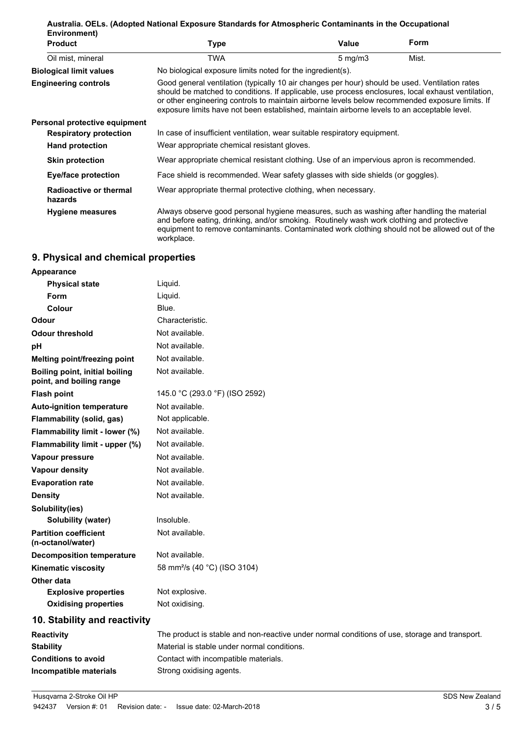| Australia. OELs. (Adopted National Exposure Standards for Atmospheric Contaminants in the Occupational<br>Environment) |                                                                                                                                                                                                                                                                                                                                                                                                        |                  |             |
|------------------------------------------------------------------------------------------------------------------------|--------------------------------------------------------------------------------------------------------------------------------------------------------------------------------------------------------------------------------------------------------------------------------------------------------------------------------------------------------------------------------------------------------|------------------|-------------|
| <b>Product</b>                                                                                                         | Type                                                                                                                                                                                                                                                                                                                                                                                                   | Value            | <b>Form</b> |
| Oil mist, mineral                                                                                                      | TWA                                                                                                                                                                                                                                                                                                                                                                                                    | $5 \text{ mg/m}$ | Mist.       |
| <b>Biological limit values</b>                                                                                         | No biological exposure limits noted for the ingredient(s).                                                                                                                                                                                                                                                                                                                                             |                  |             |
| <b>Engineering controls</b>                                                                                            | Good general ventilation (typically 10 air changes per hour) should be used. Ventilation rates<br>should be matched to conditions. If applicable, use process enclosures, local exhaust ventilation,<br>or other engineering controls to maintain airborne levels below recommended exposure limits. If<br>exposure limits have not been established, maintain airborne levels to an acceptable level. |                  |             |
| Personal protective equipment                                                                                          |                                                                                                                                                                                                                                                                                                                                                                                                        |                  |             |
| <b>Respiratory protection</b>                                                                                          | In case of insufficient ventilation, wear suitable respiratory equipment.                                                                                                                                                                                                                                                                                                                              |                  |             |
| <b>Hand protection</b>                                                                                                 | Wear appropriate chemical resistant gloves.                                                                                                                                                                                                                                                                                                                                                            |                  |             |
| <b>Skin protection</b>                                                                                                 | Wear appropriate chemical resistant clothing. Use of an impervious apron is recommended.                                                                                                                                                                                                                                                                                                               |                  |             |
| <b>Eye/face protection</b>                                                                                             | Face shield is recommended. Wear safety glasses with side shields (or goggles).                                                                                                                                                                                                                                                                                                                        |                  |             |
| Radioactive or thermal<br>hazards                                                                                      | Wear appropriate thermal protective clothing, when necessary.                                                                                                                                                                                                                                                                                                                                          |                  |             |
| <b>Hygiene measures</b>                                                                                                | Always observe good personal hygiene measures, such as washing after handling the material<br>and before eating, drinking, and/or smoking. Routinely wash work clothing and protective<br>equipment to remove contaminants. Contaminated work clothing should not be allowed out of the<br>workplace.                                                                                                  |                  |             |

# **9. Physical and chemical properties**

| Appearance                                                 |                                                                                               |
|------------------------------------------------------------|-----------------------------------------------------------------------------------------------|
| <b>Physical state</b>                                      | Liquid.                                                                                       |
| Form                                                       | Liquid.                                                                                       |
| Colour                                                     | Blue.                                                                                         |
| Odour                                                      | Characteristic.                                                                               |
| <b>Odour threshold</b>                                     | Not available.                                                                                |
| pH                                                         | Not available.                                                                                |
| <b>Melting point/freezing point</b>                        | Not available.                                                                                |
| Boiling point, initial boiling<br>point, and boiling range | Not available.                                                                                |
| <b>Flash point</b>                                         | 145.0 °C (293.0 °F) (ISO 2592)                                                                |
| <b>Auto-ignition temperature</b>                           | Not available.                                                                                |
| Flammability (solid, gas)                                  | Not applicable.                                                                               |
| Flammability limit - lower (%)                             | Not available.                                                                                |
| Flammability limit - upper (%)                             | Not available.                                                                                |
| Vapour pressure                                            | Not available.                                                                                |
| <b>Vapour density</b>                                      | Not available.                                                                                |
| <b>Evaporation rate</b>                                    | Not available.                                                                                |
| <b>Density</b>                                             | Not available.                                                                                |
| Solubility(ies)                                            |                                                                                               |
| <b>Solubility (water)</b>                                  | Insoluble.                                                                                    |
| <b>Partition coefficient</b><br>(n-octanol/water)          | Not available.                                                                                |
| <b>Decomposition temperature</b>                           | Not available.                                                                                |
| <b>Kinematic viscosity</b>                                 | 58 mm <sup>2</sup> /s (40 °C) (ISO 3104)                                                      |
| Other data                                                 |                                                                                               |
| <b>Explosive properties</b>                                | Not explosive.                                                                                |
| <b>Oxidising properties</b>                                | Not oxidising.                                                                                |
| 10. Stability and reactivity                               |                                                                                               |
| <b>Reactivity</b>                                          | The product is stable and non-reactive under normal conditions of use, storage and transport. |

| <b>Reactivity</b>          | The product is stable and non-reactive under normal conditions of use, storage and transport. |
|----------------------------|-----------------------------------------------------------------------------------------------|
| <b>Stability</b>           | Material is stable under normal conditions.                                                   |
| <b>Conditions to avoid</b> | Contact with incompatible materials.                                                          |
| Incompatible materials     | Strong oxidising agents.                                                                      |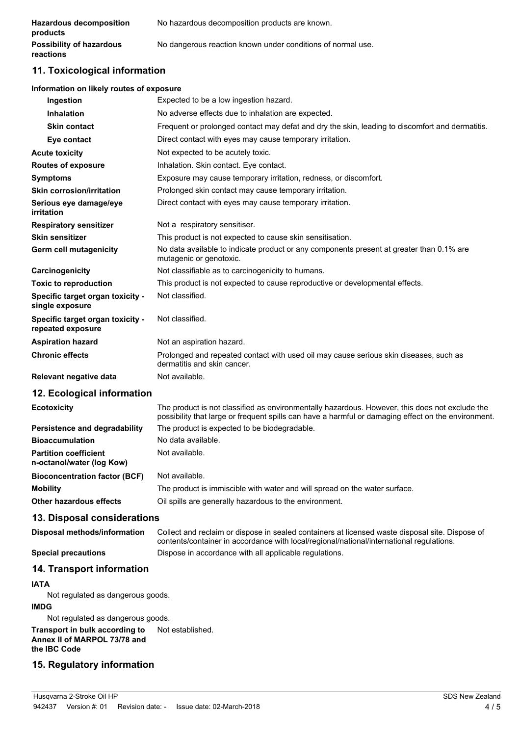| <b>Hazardous decomposition</b><br>products   | No hazardous decomposition products are known.              |
|----------------------------------------------|-------------------------------------------------------------|
| <b>Possibility of hazardous</b><br>reactions | No dangerous reaction known under conditions of normal use. |

# **11. Toxicological information**

#### **Information on likely routes of exposure**

| No adverse effects due to inhalation are expected.<br><b>Inhalation</b><br><b>Skin contact</b><br>Direct contact with eyes may cause temporary irritation.<br>Eye contact<br>Not expected to be acutely toxic.<br><b>Acute toxicity</b><br>Inhalation. Skin contact. Eye contact.<br><b>Routes of exposure</b><br>Exposure may cause temporary irritation, redness, or discomfort.<br><b>Symptoms</b><br><b>Skin corrosion/irritation</b><br>Prolonged skin contact may cause temporary irritation.<br>Serious eye damage/eye<br>Direct contact with eyes may cause temporary irritation.<br>irritation<br>Not a respiratory sensitiser.<br><b>Respiratory sensitizer</b><br><b>Skin sensitizer</b><br>This product is not expected to cause skin sensitisation.<br>No data available to indicate product or any components present at greater than 0.1% are<br>Germ cell mutagenicity<br>mutagenic or genotoxic.<br>Not classifiable as to carcinogenicity to humans.<br>Carcinogenicity<br>This product is not expected to cause reproductive or developmental effects.<br><b>Toxic to reproduction</b><br>Not classified.<br>Specific target organ toxicity -<br>single exposure<br>Specific target organ toxicity -<br>Not classified.<br>repeated exposure<br>Not an aspiration hazard.<br><b>Aspiration hazard</b><br><b>Chronic effects</b><br>Prolonged and repeated contact with used oil may cause serious skin diseases, such as<br>dermatitis and skin cancer.<br>Not available.<br>Relevant negative data | Ingestion | Expected to be a low ingestion hazard.                                                          |
|------------------------------------------------------------------------------------------------------------------------------------------------------------------------------------------------------------------------------------------------------------------------------------------------------------------------------------------------------------------------------------------------------------------------------------------------------------------------------------------------------------------------------------------------------------------------------------------------------------------------------------------------------------------------------------------------------------------------------------------------------------------------------------------------------------------------------------------------------------------------------------------------------------------------------------------------------------------------------------------------------------------------------------------------------------------------------------------------------------------------------------------------------------------------------------------------------------------------------------------------------------------------------------------------------------------------------------------------------------------------------------------------------------------------------------------------------------------------------------------------------------------------|-----------|-------------------------------------------------------------------------------------------------|
|                                                                                                                                                                                                                                                                                                                                                                                                                                                                                                                                                                                                                                                                                                                                                                                                                                                                                                                                                                                                                                                                                                                                                                                                                                                                                                                                                                                                                                                                                                                        |           |                                                                                                 |
|                                                                                                                                                                                                                                                                                                                                                                                                                                                                                                                                                                                                                                                                                                                                                                                                                                                                                                                                                                                                                                                                                                                                                                                                                                                                                                                                                                                                                                                                                                                        |           | Frequent or prolonged contact may defat and dry the skin, leading to discomfort and dermatitis. |
|                                                                                                                                                                                                                                                                                                                                                                                                                                                                                                                                                                                                                                                                                                                                                                                                                                                                                                                                                                                                                                                                                                                                                                                                                                                                                                                                                                                                                                                                                                                        |           |                                                                                                 |
|                                                                                                                                                                                                                                                                                                                                                                                                                                                                                                                                                                                                                                                                                                                                                                                                                                                                                                                                                                                                                                                                                                                                                                                                                                                                                                                                                                                                                                                                                                                        |           |                                                                                                 |
|                                                                                                                                                                                                                                                                                                                                                                                                                                                                                                                                                                                                                                                                                                                                                                                                                                                                                                                                                                                                                                                                                                                                                                                                                                                                                                                                                                                                                                                                                                                        |           |                                                                                                 |
|                                                                                                                                                                                                                                                                                                                                                                                                                                                                                                                                                                                                                                                                                                                                                                                                                                                                                                                                                                                                                                                                                                                                                                                                                                                                                                                                                                                                                                                                                                                        |           |                                                                                                 |
|                                                                                                                                                                                                                                                                                                                                                                                                                                                                                                                                                                                                                                                                                                                                                                                                                                                                                                                                                                                                                                                                                                                                                                                                                                                                                                                                                                                                                                                                                                                        |           |                                                                                                 |
|                                                                                                                                                                                                                                                                                                                                                                                                                                                                                                                                                                                                                                                                                                                                                                                                                                                                                                                                                                                                                                                                                                                                                                                                                                                                                                                                                                                                                                                                                                                        |           |                                                                                                 |
|                                                                                                                                                                                                                                                                                                                                                                                                                                                                                                                                                                                                                                                                                                                                                                                                                                                                                                                                                                                                                                                                                                                                                                                                                                                                                                                                                                                                                                                                                                                        |           |                                                                                                 |
|                                                                                                                                                                                                                                                                                                                                                                                                                                                                                                                                                                                                                                                                                                                                                                                                                                                                                                                                                                                                                                                                                                                                                                                                                                                                                                                                                                                                                                                                                                                        |           |                                                                                                 |
|                                                                                                                                                                                                                                                                                                                                                                                                                                                                                                                                                                                                                                                                                                                                                                                                                                                                                                                                                                                                                                                                                                                                                                                                                                                                                                                                                                                                                                                                                                                        |           |                                                                                                 |
|                                                                                                                                                                                                                                                                                                                                                                                                                                                                                                                                                                                                                                                                                                                                                                                                                                                                                                                                                                                                                                                                                                                                                                                                                                                                                                                                                                                                                                                                                                                        |           |                                                                                                 |
|                                                                                                                                                                                                                                                                                                                                                                                                                                                                                                                                                                                                                                                                                                                                                                                                                                                                                                                                                                                                                                                                                                                                                                                                                                                                                                                                                                                                                                                                                                                        |           |                                                                                                 |
|                                                                                                                                                                                                                                                                                                                                                                                                                                                                                                                                                                                                                                                                                                                                                                                                                                                                                                                                                                                                                                                                                                                                                                                                                                                                                                                                                                                                                                                                                                                        |           |                                                                                                 |
|                                                                                                                                                                                                                                                                                                                                                                                                                                                                                                                                                                                                                                                                                                                                                                                                                                                                                                                                                                                                                                                                                                                                                                                                                                                                                                                                                                                                                                                                                                                        |           |                                                                                                 |
|                                                                                                                                                                                                                                                                                                                                                                                                                                                                                                                                                                                                                                                                                                                                                                                                                                                                                                                                                                                                                                                                                                                                                                                                                                                                                                                                                                                                                                                                                                                        |           |                                                                                                 |
|                                                                                                                                                                                                                                                                                                                                                                                                                                                                                                                                                                                                                                                                                                                                                                                                                                                                                                                                                                                                                                                                                                                                                                                                                                                                                                                                                                                                                                                                                                                        |           |                                                                                                 |
|                                                                                                                                                                                                                                                                                                                                                                                                                                                                                                                                                                                                                                                                                                                                                                                                                                                                                                                                                                                                                                                                                                                                                                                                                                                                                                                                                                                                                                                                                                                        |           |                                                                                                 |

### **12. Ecological information**

The product is not classified as environmentally hazardous. However, this does not exclude the possibility that large or frequent spills can have a harmful or damaging effect on the environment. **Ecotoxicity Persistence and degradability** The product is expected to be biodegradable. **Bioaccumulation** No data available. **Partition coefficient n-octanol/water (log Kow)** Not available. **Bioconcentration factor (BCF)** Not available. **Mobility** The product is immiscible with water and will spread on the water surface. **Other hazardous effects** Oil spills are generally hazardous to the environment.

### **13. Disposal considerations**

Collect and reclaim or dispose in sealed containers at licensed waste disposal site. Dispose of contents/container in accordance with local/regional/national/international regulations. **Disposal methods/information Special precautions** Dispose in accordance with all applicable regulations.

### **14. Transport information**

### **IATA**

Not regulated as dangerous goods.

### **IMDG**

Not regulated as dangerous goods.

**Transport in bulk according to** Not established. **Annex II of MARPOL 73/78 and the IBC Code**

# **15. Regulatory information**